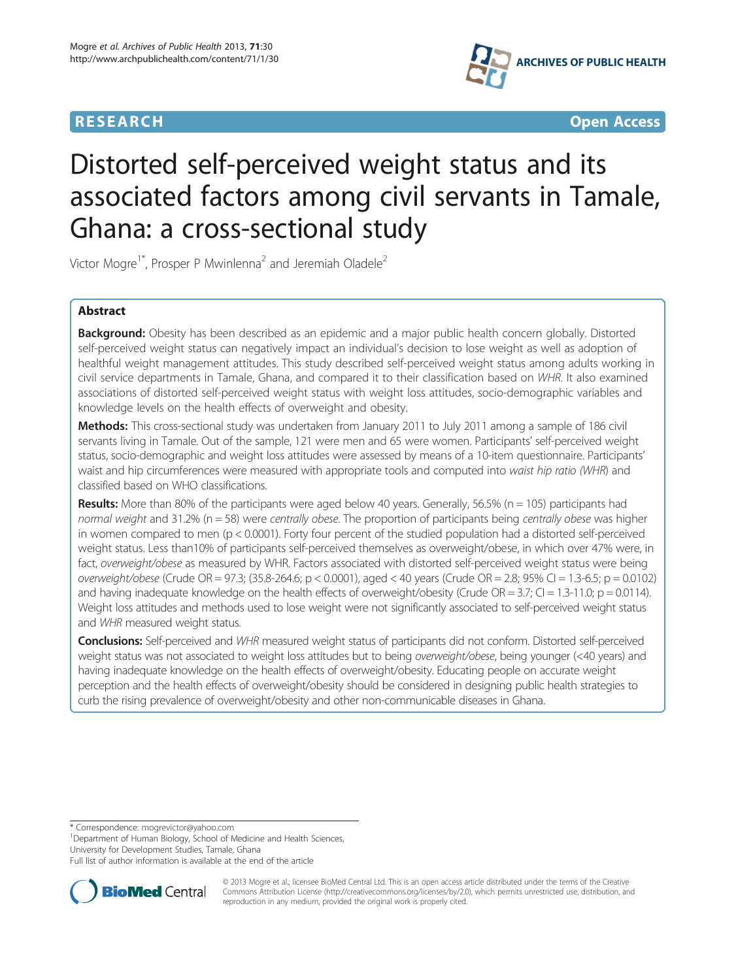# **RESEARCH CHEAR CHEART CHEART CHEART CHEART CHEART CHEART CHEART CHEAP CHEAP CHEAP CHEAP CHEAP CHEAP CHEAP CHEAP**



# Distorted self-perceived weight status and its associated factors among civil servants in Tamale, Ghana: a cross-sectional study

Victor Mogre<sup>1\*</sup>, Prosper P Mwinlenna<sup>2</sup> and Jeremiah Oladele<sup>2</sup>

# Abstract

Background: Obesity has been described as an epidemic and a major public health concern globally. Distorted self-perceived weight status can negatively impact an individual's decision to lose weight as well as adoption of healthful weight management attitudes. This study described self-perceived weight status among adults working in civil service departments in Tamale, Ghana, and compared it to their classification based on WHR. It also examined associations of distorted self-perceived weight status with weight loss attitudes, socio-demographic variables and knowledge levels on the health effects of overweight and obesity.

Methods: This cross-sectional study was undertaken from January 2011 to July 2011 among a sample of 186 civil servants living in Tamale. Out of the sample, 121 were men and 65 were women. Participants' self-perceived weight status, socio-demographic and weight loss attitudes were assessed by means of a 10-item questionnaire. Participants' waist and hip circumferences were measured with appropriate tools and computed into waist hip ratio (WHR) and classified based on WHO classifications.

**Results:** More than 80% of the participants were aged below 40 years. Generally, 56.5% (n = 105) participants had normal weight and 31.2% ( $n = 58$ ) were centrally obese. The proportion of participants being centrally obese was higher in women compared to men (p < 0.0001). Forty four percent of the studied population had a distorted self-perceived weight status. Less than10% of participants self-perceived themselves as overweight/obese, in which over 47% were, in fact, overweight/obese as measured by WHR. Factors associated with distorted self-perceived weight status were being overweight/obese (Crude OR = 97.3; (35.8-264.6; p < 0.0001), aged < 40 years (Crude OR = 2.8; 95% CI = 1.3-6.5; p = 0.0102) and having inadequate knowledge on the health effects of overweight/obesity (Crude OR =  $3.7$ ; CI =  $1.3$ - $11.0$ ; p = 0.0114). Weight loss attitudes and methods used to lose weight were not significantly associated to self-perceived weight status and WHR measured weight status.

Conclusions: Self-perceived and WHR measured weight status of participants did not conform. Distorted self-perceived weight status was not associated to weight loss attitudes but to being *overweight/obese*, being younger (<40 years) and having inadequate knowledge on the health effects of overweight/obesity. Educating people on accurate weight perception and the health effects of overweight/obesity should be considered in designing public health strategies to curb the rising prevalence of overweight/obesity and other non-communicable diseases in Ghana.

\* Correspondence: [mogrevictor@yahoo.com](mailto:mogrevictor@yahoo.com) <sup>1</sup>

<sup>1</sup>Department of Human Biology, School of Medicine and Health Sciences, University for Development Studies, Tamale, Ghana

Full list of author information is available at the end of the article



© 2013 Mogre et al.; licensee BioMed Central Ltd. This is an open access article distributed under the terms of the Creative Commons Attribution License [\(http://creativecommons.org/licenses/by/2.0\)](http://creativecommons.org/licenses/by/2.0), which permits unrestricted use, distribution, and reproduction in any medium, provided the original work is properly cited.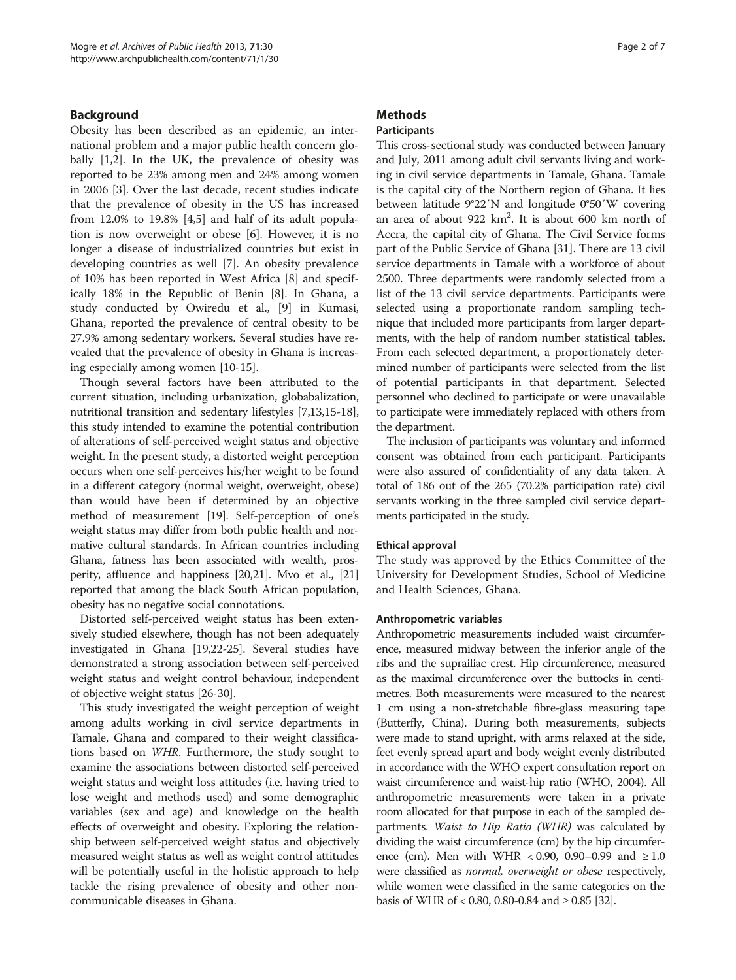# Background

Obesity has been described as an epidemic, an international problem and a major public health concern globally [\[1,2](#page-5-0)]. In the UK, the prevalence of obesity was reported to be 23% among men and 24% among women in 2006 [[3\]](#page-5-0). Over the last decade, recent studies indicate that the prevalence of obesity in the US has increased from 12.0% to 19.8% [\[4](#page-5-0),[5](#page-5-0)] and half of its adult population is now overweight or obese [\[6](#page-5-0)]. However, it is no longer a disease of industrialized countries but exist in developing countries as well [\[7](#page-5-0)]. An obesity prevalence of 10% has been reported in West Africa [[8\]](#page-5-0) and specifically 18% in the Republic of Benin [\[8](#page-5-0)]. In Ghana, a study conducted by Owiredu et al., [\[9](#page-5-0)] in Kumasi, Ghana, reported the prevalence of central obesity to be 27.9% among sedentary workers. Several studies have revealed that the prevalence of obesity in Ghana is increasing especially among women [[10-15](#page-5-0)].

Though several factors have been attributed to the current situation, including urbanization, globabalization, nutritional transition and sedentary lifestyles [\[7,13,15](#page-5-0)-[18](#page-5-0)], this study intended to examine the potential contribution of alterations of self-perceived weight status and objective weight. In the present study, a distorted weight perception occurs when one self-perceives his/her weight to be found in a different category (normal weight, overweight, obese) than would have been if determined by an objective method of measurement [\[19\]](#page-5-0). Self-perception of one's weight status may differ from both public health and normative cultural standards. In African countries including Ghana, fatness has been associated with wealth, prosperity, affluence and happiness [\[20,21](#page-5-0)]. Mvo et al., [[21](#page-5-0)] reported that among the black South African population, obesity has no negative social connotations.

Distorted self-perceived weight status has been extensively studied elsewhere, though has not been adequately investigated in Ghana [\[19,22](#page-5-0)-[25](#page-5-0)]. Several studies have demonstrated a strong association between self-perceived weight status and weight control behaviour, independent of objective weight status [\[26-](#page-5-0)[30\]](#page-6-0).

This study investigated the weight perception of weight among adults working in civil service departments in Tamale, Ghana and compared to their weight classifications based on WHR. Furthermore, the study sought to examine the associations between distorted self-perceived weight status and weight loss attitudes (i.e. having tried to lose weight and methods used) and some demographic variables (sex and age) and knowledge on the health effects of overweight and obesity. Exploring the relationship between self-perceived weight status and objectively measured weight status as well as weight control attitudes will be potentially useful in the holistic approach to help tackle the rising prevalence of obesity and other noncommunicable diseases in Ghana.

# **Methods**

# **Participants**

This cross-sectional study was conducted between January and July, 2011 among adult civil servants living and working in civil service departments in Tamale, Ghana. Tamale is the capital city of the Northern region of Ghana. It lies between latitude 9°22′N and longitude 0°50′W covering an area of about 922 km<sup>2</sup>. It is about 600 km north of Accra, the capital city of Ghana. The Civil Service forms part of the Public Service of Ghana [\[31\]](#page-6-0). There are 13 civil service departments in Tamale with a workforce of about 2500. Three departments were randomly selected from a list of the 13 civil service departments. Participants were selected using a proportionate random sampling technique that included more participants from larger departments, with the help of random number statistical tables. From each selected department, a proportionately determined number of participants were selected from the list of potential participants in that department. Selected personnel who declined to participate or were unavailable to participate were immediately replaced with others from the department.

The inclusion of participants was voluntary and informed consent was obtained from each participant. Participants were also assured of confidentiality of any data taken. A total of 186 out of the 265 (70.2% participation rate) civil servants working in the three sampled civil service departments participated in the study.

#### Ethical approval

The study was approved by the Ethics Committee of the University for Development Studies, School of Medicine and Health Sciences, Ghana.

#### Anthropometric variables

Anthropometric measurements included waist circumference, measured midway between the inferior angle of the ribs and the suprailiac crest. Hip circumference, measured as the maximal circumference over the buttocks in centimetres. Both measurements were measured to the nearest 1 cm using a non-stretchable fibre-glass measuring tape (Butterfly, China). During both measurements, subjects were made to stand upright, with arms relaxed at the side, feet evenly spread apart and body weight evenly distributed in accordance with the WHO expert consultation report on waist circumference and waist-hip ratio (WHO, 2004). All anthropometric measurements were taken in a private room allocated for that purpose in each of the sampled departments. Waist to Hip Ratio (WHR) was calculated by dividing the waist circumference (cm) by the hip circumference (cm). Men with WHR < 0.90, 0.90–0.99 and ≥ 1.0 were classified as normal, overweight or obese respectively, while women were classified in the same categories on the basis of WHR of < 0.80, 0.80-0.84 and ≥ 0.85 [\[32\]](#page-6-0).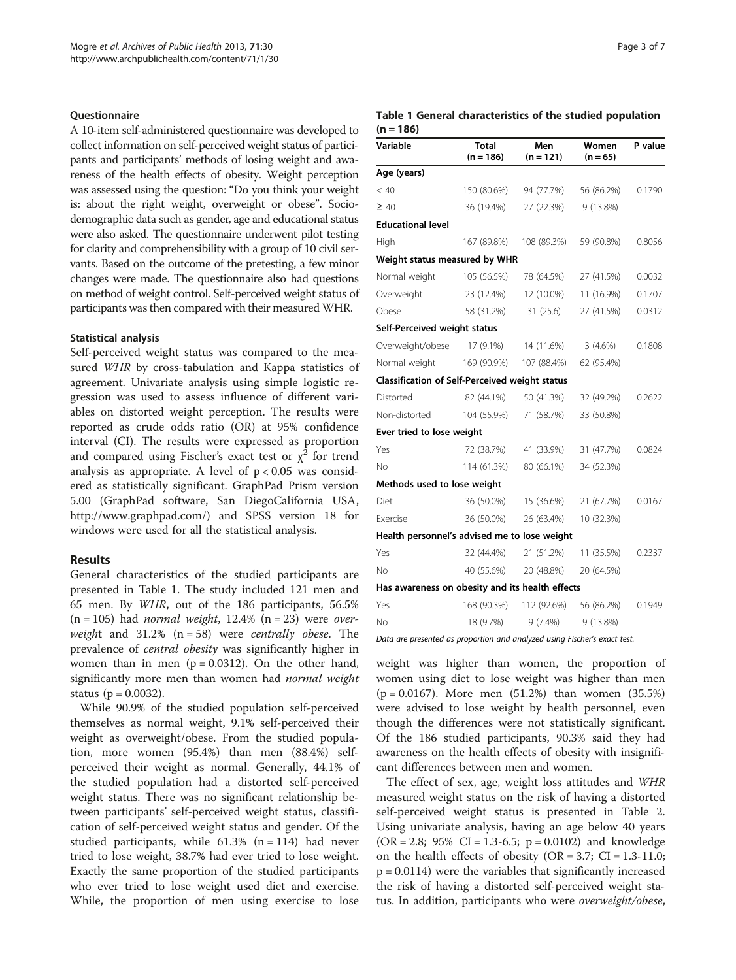#### **Ouestionnaire**

A 10-item self-administered questionnaire was developed to collect information on self-perceived weight status of participants and participants' methods of losing weight and awareness of the health effects of obesity. Weight perception was assessed using the question: "Do you think your weight is: about the right weight, overweight or obese". Sociodemographic data such as gender, age and educational status were also asked. The questionnaire underwent pilot testing for clarity and comprehensibility with a group of 10 civil servants. Based on the outcome of the pretesting, a few minor changes were made. The questionnaire also had questions on method of weight control. Self-perceived weight status of participants was then compared with their measured WHR.

#### Statistical analysis

Self-perceived weight status was compared to the measured WHR by cross-tabulation and Kappa statistics of agreement. Univariate analysis using simple logistic regression was used to assess influence of different variables on distorted weight perception. The results were reported as crude odds ratio (OR) at 95% confidence interval (CI). The results were expressed as proportion and compared using Fischer's exact test or  $\chi^2$  for trend analysis as appropriate. A level of  $p < 0.05$  was considered as statistically significant. GraphPad Prism version 5.00 (GraphPad software, San DiegoCalifornia USA, <http://www.graphpad.com/>) and SPSS version 18 for windows were used for all the statistical analysis.

#### Results

General characteristics of the studied participants are presented in Table 1. The study included 121 men and 65 men. By WHR, out of the 186 participants, 56.5%  $(n = 105)$  had *normal weight*, 12.4%  $(n = 23)$  were *over*weight and  $31.2\%$  (n = 58) were *centrally obese*. The prevalence of central obesity was significantly higher in women than in men  $(p = 0.0312)$ . On the other hand, significantly more men than women had normal weight status ( $p = 0.0032$ ).

While 90.9% of the studied population self-perceived themselves as normal weight, 9.1% self-perceived their weight as overweight/obese. From the studied population, more women (95.4%) than men (88.4%) selfperceived their weight as normal. Generally, 44.1% of the studied population had a distorted self-perceived weight status. There was no significant relationship between participants' self-perceived weight status, classification of self-perceived weight status and gender. Of the studied participants, while  $61.3\%$  (n = 114) had never tried to lose weight, 38.7% had ever tried to lose weight. Exactly the same proportion of the studied participants who ever tried to lose weight used diet and exercise. While, the proportion of men using exercise to lose

#### Table 1 General characteristics of the studied population  $(n = 186)$

| Variable                                        | <b>Total</b><br>$(n = 186)$ | Men<br>$(n = 121)$ | Women<br>$(n = 65)$ | P value |
|-------------------------------------------------|-----------------------------|--------------------|---------------------|---------|
| Age (years)                                     |                             |                    |                     |         |
| < 40                                            | 150 (80.6%)                 | 94 (77.7%)         | 56 (86.2%)          | 0.1790  |
| $\geq 40$                                       | 36 (19.4%)                  | 27 (22.3%)         | 9 (13.8%)           |         |
| <b>Educational level</b>                        |                             |                    |                     |         |
| High                                            | 167 (89.8%)                 | 108 (89.3%)        | 59 (90.8%)          | 0.8056  |
| Weight status measured by WHR                   |                             |                    |                     |         |
| Normal weight                                   | 105 (56.5%)                 | 78 (64.5%)         | 27 (41.5%)          | 0.0032  |
| Overweight                                      | 23 (12.4%)                  | 12 (10.0%)         | 11 (16.9%)          | 0.1707  |
| Obese                                           | 58 (31.2%)                  | 31(25.6)           | 27 (41.5%)          | 0.0312  |
| Self-Perceived weight status                    |                             |                    |                     |         |
| Overweight/obese                                | 17 (9.1%)                   | 14 (11.6%)         | $3(4.6\%)$          | 0.1808  |
| Normal weight                                   | 169 (90.9%)                 | 107 (88.4%)        | 62 (95.4%)          |         |
| Classification of Self-Perceived weight status  |                             |                    |                     |         |
| Distorted                                       | 82 (44.1%)                  | 50 (41.3%)         | 32 (49.2%)          | 0.2622  |
| Non-distorted                                   | 104 (55.9%)                 | 71 (58.7%)         | 33 (50.8%)          |         |
| Ever tried to lose weight                       |                             |                    |                     |         |
| Yes                                             | 72 (38.7%)                  | 41 (33.9%)         | 31 (47.7%)          | 0.0824  |
| Νo                                              | 114 (61.3%)                 | 80 (66.1%)         | 34 (52.3%)          |         |
| Methods used to lose weight                     |                             |                    |                     |         |
| Diet                                            | 36 (50.0%)                  | 15 (36.6%)         | 21 (67.7%)          | 0.0167  |
| Exercise                                        | 36 (50.0%)                  | 26 (63.4%)         | 10 (32.3%)          |         |
| Health personnel's advised me to lose weight    |                             |                    |                     |         |
| Yes                                             | 32 (44.4%)                  | 21 (51.2%)         | 11 (35.5%)          | 0.2337  |
| No                                              | 40 (55.6%)                  | 20 (48.8%)         | 20 (64.5%)          |         |
| Has awareness on obesity and its health effects |                             |                    |                     |         |
| Yes                                             | 168 (90.3%)                 | 112 (92.6%)        | 56 (86.2%)          | 0.1949  |
| No                                              | 18 (9.7%)                   | $9(7.4\%)$         | 9 (13.8%)           |         |

Data are presented as proportion and analyzed using Fischer's exact test.

weight was higher than women, the proportion of women using diet to lose weight was higher than men (p = 0.0167). More men (51.2%) than women (35.5%) were advised to lose weight by health personnel, even though the differences were not statistically significant. Of the 186 studied participants, 90.3% said they had awareness on the health effects of obesity with insignificant differences between men and women.

The effect of sex, age, weight loss attitudes and WHR measured weight status on the risk of having a distorted self-perceived weight status is presented in Table [2](#page-3-0). Using univariate analysis, having an age below 40 years  $(OR = 2.8; 95\% \text{ CI} = 1.3-6.5; p = 0.0102)$  and knowledge on the health effects of obesity ( $OR = 3.7$ ;  $CI = 1.3-11.0$ ;  $p = 0.0114$ ) were the variables that significantly increased the risk of having a distorted self-perceived weight status. In addition, participants who were overweight/obese,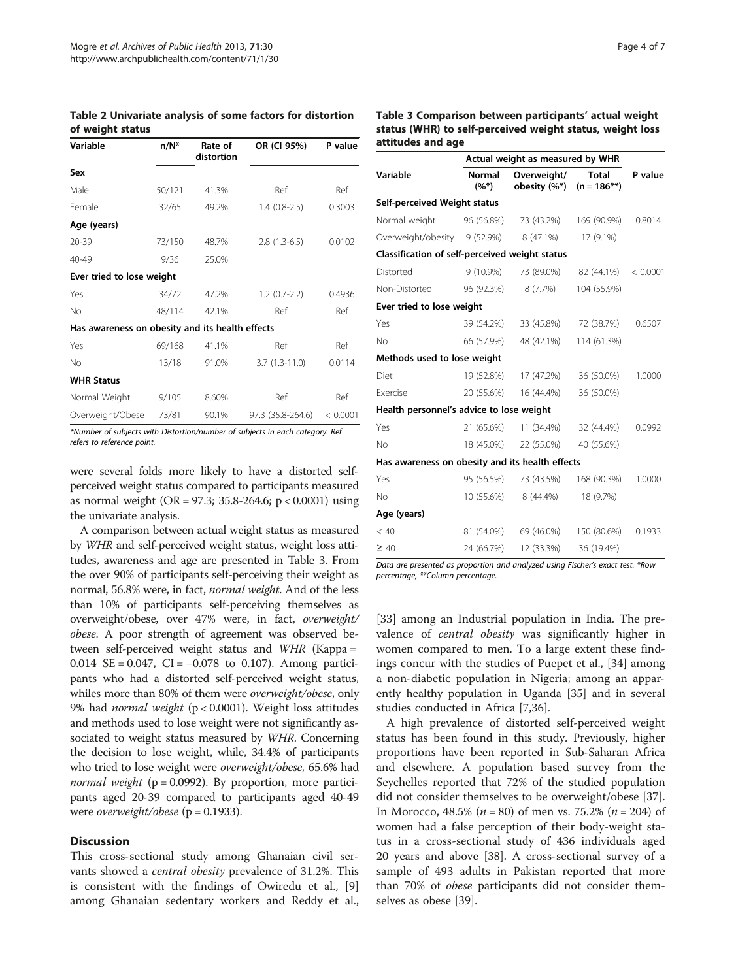<span id="page-3-0"></span>Table 2 Univariate analysis of some factors for distortion of weight status

| Variable                                        | $n/N^*$ | Rate of<br>distortion | OR (CI 95%)       | P value  |
|-------------------------------------------------|---------|-----------------------|-------------------|----------|
| Sex                                             |         |                       |                   |          |
| Male                                            | 50/121  | 41.3%                 | Ref               | Ref      |
| Female                                          | 32/65   | 49.2%                 | $1.4(0.8-2.5)$    | 0.3003   |
| Age (years)                                     |         |                       |                   |          |
| $20 - 39$                                       | 73/150  | 48.7%                 | $2.8(1.3-6.5)$    | 0.0102   |
| $40 - 49$                                       | 9/36    | 25.0%                 |                   |          |
| Ever tried to lose weight                       |         |                       |                   |          |
| Yes                                             | 34/72   | 47.2%                 | $1.2(0.7-2.2)$    | 0.4936   |
| No                                              | 48/114  | 42.1%                 | Ref               | Ref      |
| Has awareness on obesity and its health effects |         |                       |                   |          |
| Yes                                             | 69/168  | 41.1%                 | Ref               | Ref      |
| No                                              | 13/18   | 91.0%                 | $3.7(1.3-11.0)$   | 0.0114   |
| <b>WHR Status</b>                               |         |                       |                   |          |
| Normal Weight                                   | 9/105   | 8.60%                 | Ref               | Ref      |
| Overweight/Obese                                | 73/81   | 90.1%                 | 97.3 (35.8-264.6) | < 0.0001 |

\*Number of subjects with Distortion/number of subjects in each category. Ref refers to reference point.

were several folds more likely to have a distorted selfperceived weight status compared to participants measured as normal weight (OR = 97.3; 35.8-264.6; p < 0.0001) using the univariate analysis.

A comparison between actual weight status as measured by WHR and self-perceived weight status, weight loss attitudes, awareness and age are presented in Table 3. From the over 90% of participants self-perceiving their weight as normal, 56.8% were, in fact, normal weight. And of the less than 10% of participants self-perceiving themselves as overweight/obese, over 47% were, in fact, overweight/ obese. A poor strength of agreement was observed between self-perceived weight status and WHR (Kappa = 0.014  $SE = 0.047$ ,  $CI = -0.078$  to 0.107). Among participants who had a distorted self-perceived weight status, whiles more than 80% of them were *overweight/obese*, only 9% had normal weight (p < 0.0001). Weight loss attitudes and methods used to lose weight were not significantly associated to weight status measured by WHR. Concerning the decision to lose weight, while, 34.4% of participants who tried to lose weight were overweight/obese, 65.6% had *normal weight* ( $p = 0.0992$ ). By proportion, more participants aged 20-39 compared to participants aged 40-49 were *overweight/obese* ( $p = 0.1933$ ).

#### **Discussion**

This cross-sectional study among Ghanaian civil servants showed a central obesity prevalence of 31.2%. This is consistent with the findings of Owiredu et al., [\[9](#page-5-0)] among Ghanaian sedentary workers and Reddy et al., Table 3 Comparison between participants' actual weight status (WHR) to self-perceived weight status, weight loss attitudes and age

|                                                 | Actual weight as measured by WHR |                             |                               |          |
|-------------------------------------------------|----------------------------------|-----------------------------|-------------------------------|----------|
| Variable                                        | <b>Normal</b><br>$(%^*)$         | Overweight/<br>obesity (%*) | <b>Total</b><br>$(n = 186**)$ | P value  |
| Self-perceived Weight status                    |                                  |                             |                               |          |
| Normal weight                                   | 96 (56.8%)                       | 73 (43.2%)                  | 169 (90.9%)                   | 0.8014   |
| Overweight/obesity 9 (52.9%)                    |                                  | 8 (47.1%)                   | 17 (9.1%)                     |          |
| Classification of self-perceived weight status  |                                  |                             |                               |          |
| Distorted                                       | 9 (10.9%)                        | 73 (89.0%)                  | 82 (44.1%)                    | < 0.0001 |
| Non-Distorted                                   | 96 (92.3%)                       | 8 (7.7%)                    | 104 (55.9%)                   |          |
| Ever tried to lose weight                       |                                  |                             |                               |          |
| Yes                                             | 39 (54.2%)                       | 33 (45.8%)                  | 72 (38.7%)                    | 0.6507   |
| No                                              | 66 (57.9%)                       | 48 (42.1%)                  | 114 (61.3%)                   |          |
| Methods used to lose weight                     |                                  |                             |                               |          |
| Diet                                            | 19 (52.8%)                       | 17 (47.2%)                  | 36 (50.0%)                    | 1.0000   |
| Exercise                                        | 20 (55.6%)                       | 16 (44.4%)                  | 36 (50.0%)                    |          |
| Health personnel's advice to lose weight        |                                  |                             |                               |          |
| Yes                                             | 21 (65.6%)                       | 11 (34.4%)                  | 32 (44.4%)                    | 0.0992   |
| No                                              | 18 (45.0%)                       | 22 (55.0%)                  | 40 (55.6%)                    |          |
| Has awareness on obesity and its health effects |                                  |                             |                               |          |
| Yes                                             | 95 (56.5%)                       | 73 (43.5%)                  | 168 (90.3%)                   | 1.0000   |
| No                                              | 10 (55.6%)                       | 8 (44.4%)                   | 18 (9.7%)                     |          |
| Age (years)                                     |                                  |                             |                               |          |
| < 40                                            | 81 (54.0%)                       | 69 (46.0%)                  | 150 (80.6%)                   | 0.1933   |
| $\geq 40$                                       | 24 (66.7%)                       | 12 (33.3%)                  | 36 (19.4%)                    |          |

Data are presented as proportion and analyzed using Fischer's exact test. \*Row percentage, \*\*Column percentage.

[[33\]](#page-6-0) among an Industrial population in India. The prevalence of central obesity was significantly higher in women compared to men. To a large extent these findings concur with the studies of Puepet et al., [[34](#page-6-0)] among a non-diabetic population in Nigeria; among an apparently healthy population in Uganda [[35\]](#page-6-0) and in several studies conducted in Africa [\[7](#page-5-0)[,36](#page-6-0)].

A high prevalence of distorted self-perceived weight status has been found in this study. Previously, higher proportions have been reported in Sub-Saharan Africa and elsewhere. A population based survey from the Seychelles reported that 72% of the studied population did not consider themselves to be overweight/obese [\[37](#page-6-0)]. In Morocco, 48.5% ( $n = 80$ ) of men vs. 75.2% ( $n = 204$ ) of women had a false perception of their body-weight status in a cross-sectional study of 436 individuals aged 20 years and above [[38\]](#page-6-0). A cross-sectional survey of a sample of 493 adults in Pakistan reported that more than 70% of obese participants did not consider themselves as obese [\[39](#page-6-0)].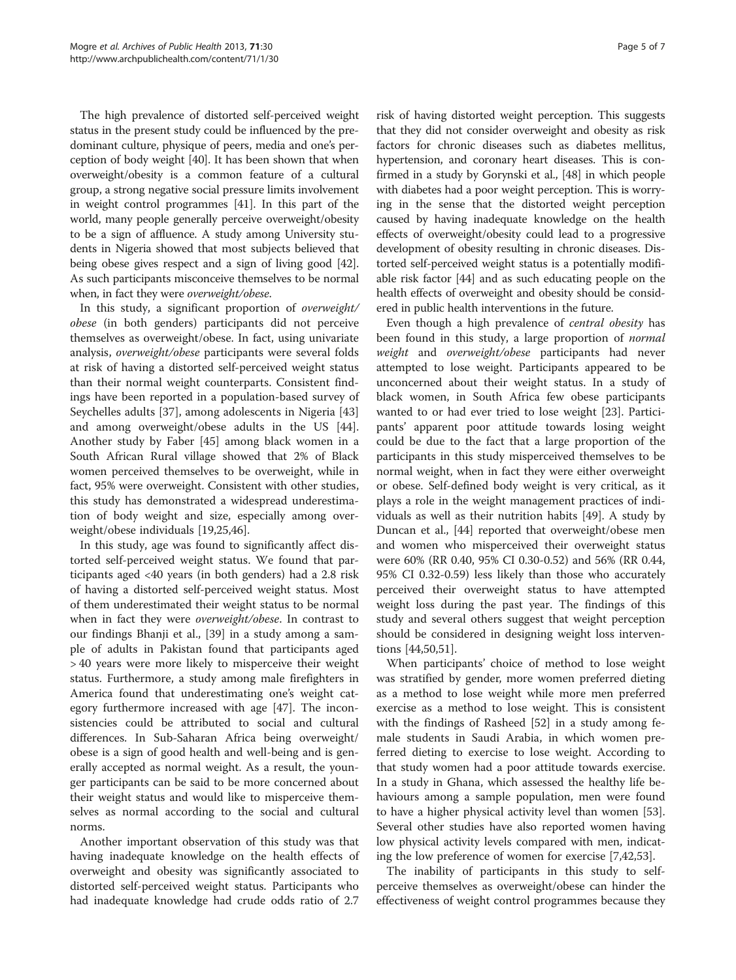The high prevalence of distorted self-perceived weight status in the present study could be influenced by the predominant culture, physique of peers, media and one's perception of body weight [[40](#page-6-0)]. It has been shown that when overweight/obesity is a common feature of a cultural group, a strong negative social pressure limits involvement in weight control programmes [\[41\]](#page-6-0). In this part of the world, many people generally perceive overweight/obesity to be a sign of affluence. A study among University students in Nigeria showed that most subjects believed that being obese gives respect and a sign of living good [[42](#page-6-0)]. As such participants misconceive themselves to be normal when, in fact they were overweight/obese.

In this study, a significant proportion of overweight/ obese (in both genders) participants did not perceive themselves as overweight/obese. In fact, using univariate analysis, overweight/obese participants were several folds at risk of having a distorted self-perceived weight status than their normal weight counterparts. Consistent findings have been reported in a population-based survey of Seychelles adults [[37\]](#page-6-0), among adolescents in Nigeria [[43](#page-6-0)] and among overweight/obese adults in the US [\[44](#page-6-0)]. Another study by Faber [[45\]](#page-6-0) among black women in a South African Rural village showed that 2% of Black women perceived themselves to be overweight, while in fact, 95% were overweight. Consistent with other studies, this study has demonstrated a widespread underestimation of body weight and size, especially among overweight/obese individuals [\[19,25](#page-5-0)[,46\]](#page-6-0).

In this study, age was found to significantly affect distorted self-perceived weight status. We found that participants aged <40 years (in both genders) had a 2.8 risk of having a distorted self-perceived weight status. Most of them underestimated their weight status to be normal when in fact they were overweight/obese. In contrast to our findings Bhanji et al., [\[39](#page-6-0)] in a study among a sample of adults in Pakistan found that participants aged > 40 years were more likely to misperceive their weight status. Furthermore, a study among male firefighters in America found that underestimating one's weight category furthermore increased with age [[47\]](#page-6-0). The inconsistencies could be attributed to social and cultural differences. In Sub-Saharan Africa being overweight/ obese is a sign of good health and well-being and is generally accepted as normal weight. As a result, the younger participants can be said to be more concerned about their weight status and would like to misperceive themselves as normal according to the social and cultural norms.

Another important observation of this study was that having inadequate knowledge on the health effects of overweight and obesity was significantly associated to distorted self-perceived weight status. Participants who had inadequate knowledge had crude odds ratio of 2.7

risk of having distorted weight perception. This suggests that they did not consider overweight and obesity as risk factors for chronic diseases such as diabetes mellitus, hypertension, and coronary heart diseases. This is confirmed in a study by Gorynski et al., [[48](#page-6-0)] in which people with diabetes had a poor weight perception. This is worrying in the sense that the distorted weight perception caused by having inadequate knowledge on the health effects of overweight/obesity could lead to a progressive development of obesity resulting in chronic diseases. Distorted self-perceived weight status is a potentially modifiable risk factor [\[44\]](#page-6-0) and as such educating people on the health effects of overweight and obesity should be considered in public health interventions in the future.

Even though a high prevalence of central obesity has been found in this study, a large proportion of *normal* weight and overweight/obese participants had never attempted to lose weight. Participants appeared to be unconcerned about their weight status. In a study of black women, in South Africa few obese participants wanted to or had ever tried to lose weight [[23\]](#page-5-0). Participants' apparent poor attitude towards losing weight could be due to the fact that a large proportion of the participants in this study misperceived themselves to be normal weight, when in fact they were either overweight or obese. Self-defined body weight is very critical, as it plays a role in the weight management practices of individuals as well as their nutrition habits [\[49](#page-6-0)]. A study by Duncan et al., [\[44](#page-6-0)] reported that overweight/obese men and women who misperceived their overweight status were 60% (RR 0.40, 95% CI 0.30-0.52) and 56% (RR 0.44, 95% CI 0.32-0.59) less likely than those who accurately perceived their overweight status to have attempted weight loss during the past year. The findings of this study and several others suggest that weight perception should be considered in designing weight loss interventions [[44,50,51\]](#page-6-0).

When participants' choice of method to lose weight was stratified by gender, more women preferred dieting as a method to lose weight while more men preferred exercise as a method to lose weight. This is consistent with the findings of Rasheed [[52](#page-6-0)] in a study among female students in Saudi Arabia, in which women preferred dieting to exercise to lose weight. According to that study women had a poor attitude towards exercise. In a study in Ghana, which assessed the healthy life behaviours among a sample population, men were found to have a higher physical activity level than women [\[53](#page-6-0)]. Several other studies have also reported women having low physical activity levels compared with men, indicating the low preference of women for exercise [\[7](#page-5-0)[,42,53](#page-6-0)].

The inability of participants in this study to selfperceive themselves as overweight/obese can hinder the effectiveness of weight control programmes because they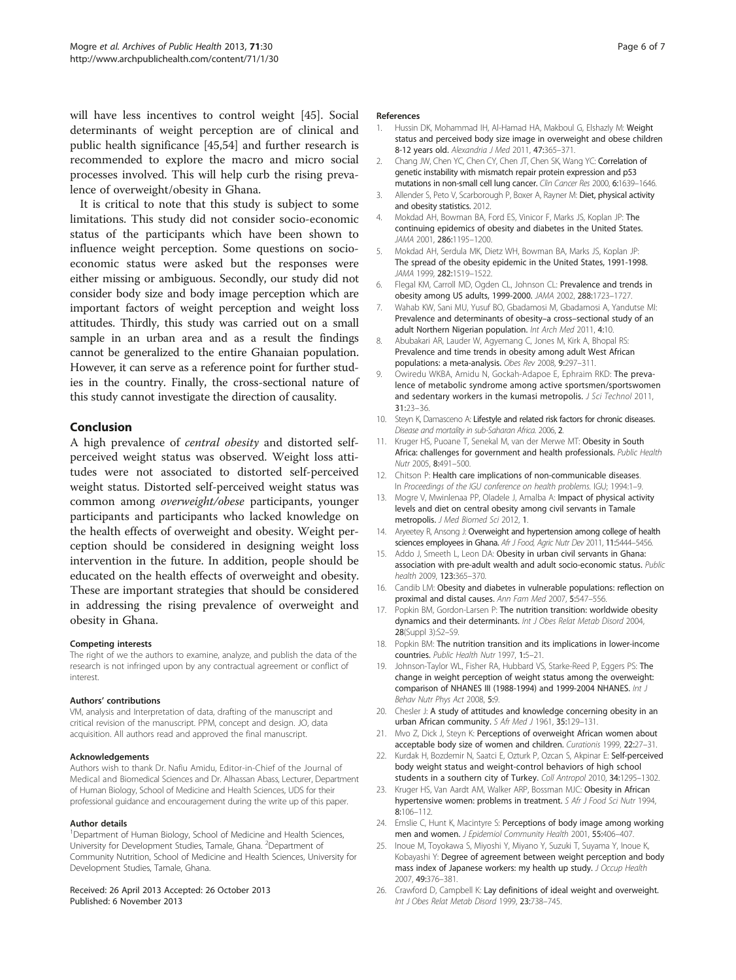<span id="page-5-0"></span>will have less incentives to control weight [[45](#page-6-0)]. Social determinants of weight perception are of clinical and public health significance [[45,54\]](#page-6-0) and further research is recommended to explore the macro and micro social processes involved. This will help curb the rising prevalence of overweight/obesity in Ghana.

It is critical to note that this study is subject to some limitations. This study did not consider socio-economic status of the participants which have been shown to influence weight perception. Some questions on socioeconomic status were asked but the responses were either missing or ambiguous. Secondly, our study did not consider body size and body image perception which are important factors of weight perception and weight loss attitudes. Thirdly, this study was carried out on a small sample in an urban area and as a result the findings cannot be generalized to the entire Ghanaian population. However, it can serve as a reference point for further studies in the country. Finally, the cross-sectional nature of this study cannot investigate the direction of causality.

# Conclusion

A high prevalence of central obesity and distorted selfperceived weight status was observed. Weight loss attitudes were not associated to distorted self-perceived weight status. Distorted self-perceived weight status was common among overweight/obese participants, younger participants and participants who lacked knowledge on the health effects of overweight and obesity. Weight perception should be considered in designing weight loss intervention in the future. In addition, people should be educated on the health effects of overweight and obesity. These are important strategies that should be considered in addressing the rising prevalence of overweight and obesity in Ghana.

#### Competing interests

The right of we the authors to examine, analyze, and publish the data of the research is not infringed upon by any contractual agreement or conflict of interest.

#### Authors' contributions

VM, analysis and Interpretation of data, drafting of the manuscript and critical revision of the manuscript. PPM, concept and design. JO, data acquisition. All authors read and approved the final manuscript.

#### Acknowledgements

Authors wish to thank Dr. Nafiu Amidu, Editor-in-Chief of the Journal of Medical and Biomedical Sciences and Dr. Alhassan Abass, Lecturer, Department of Human Biology, School of Medicine and Health Sciences, UDS for their professional guidance and encouragement during the write up of this paper.

#### Author details

<sup>1</sup>Department of Human Biology, School of Medicine and Health Sciences, University for Development Studies, Tamale, Ghana. <sup>2</sup>Department of Community Nutrition, School of Medicine and Health Sciences, University for Development Studies, Tamale, Ghana.

#### Received: 26 April 2013 Accepted: 26 October 2013 Published: 6 November 2013

#### References

- 1. Hussin DK, Mohammad IH, Al-Hamad HA, Makboul G, Elshazly M: Weight status and perceived body size image in overweight and obese children 8-12 years old. Alexandria J Med 2011, 47:365–371.
- 2. Chang JW, Chen YC, Chen CY, Chen JT, Chen SK, Wang YC: Correlation of genetic instability with mismatch repair protein expression and p53 mutations in non-small cell lung cancer. Clin Cancer Res 2000, 6:1639-1646.
- 3. Allender S, Peto V, Scarborough P, Boxer A, Rayner M: Diet, physical activity and obesity statistics. 2012.
- 4. Mokdad AH, Bowman BA, Ford ES, Vinicor F, Marks JS, Koplan JP: The continuing epidemics of obesity and diabetes in the United States. JAMA 2001, 286:1195–1200.
- 5. Mokdad AH, Serdula MK, Dietz WH, Bowman BA, Marks JS, Koplan JP: The spread of the obesity epidemic in the United States, 1991-1998. JAMA 1999, 282:1519-1522.
- 6. Flegal KM, Carroll MD, Ogden CL, Johnson CL: Prevalence and trends in obesity among US adults, 1999-2000. JAMA 2002, 288:1723–1727.
- 7. Wahab KW, Sani MU, Yusuf BO, Gbadamosi M, Gbadamosi A, Yandutse MI: Prevalence and determinants of obesity–a cross–sectional study of an adult Northern Nigerian population. Int Arch Med 2011, 4:10.
- 8. Abubakari AR, Lauder W, Agyemang C, Jones M, Kirk A, Bhopal RS: Prevalence and time trends in obesity among adult West African populations: a meta-analysis. Obes Rev 2008, 9:297–311.
- 9. Owiredu WKBA, Amidu N, Gockah-Adapoe E, Ephraim RKD: The prevalence of metabolic syndrome among active sportsmen/sportswomen and sedentary workers in the kumasi metropolis. J Sci Technol 2011, 31:23–36.
- 10. Steyn K, Damasceno A: Lifestyle and related risk factors for chronic diseases. Disease and mortality in sub-Saharan Africa. 2006, 2.
- 11. Kruger HS, Puoane T, Senekal M, van der Merwe MT: Obesity in South Africa: challenges for government and health professionals. Public Health Nutr 2005, 8:491–500.
- 12. Chitson P: Health care implications of non-communicable diseases. In Proceedings of the IGU conference on health problems. IGU; 1994:1–9.
- 13. Moare V, Mwinlenaa PP, Oladele J, Amalba A: Impact of physical activity levels and diet on central obesity among civil servants in Tamale metropolis. J Med Biomed Sci 2012, 1.
- 14. Aryeetey R, Ansong J: Overweight and hypertension among college of health sciences employees in Ghana. Afr J Food, Agric Nutr Dev 2011, 11:5444-5456.
- 15. Addo J, Smeeth L, Leon DA: Obesity in urban civil servants in Ghana: association with pre-adult wealth and adult socio-economic status. Public health 2009, 123:365–370.
- 16. Candib LM: Obesity and diabetes in vulnerable populations: reflection on proximal and distal causes. Ann Fam Med 2007, 5:547–556.
- 17. Popkin BM, Gordon-Larsen P: The nutrition transition: worldwide obesity dynamics and their determinants. Int J Obes Relat Metab Disord 2004, 28(Suppl 3):S2–S9.
- 18. Popkin BM: The nutrition transition and its implications in lower-income countries. Public Health Nutr 1997, 1:5–21.
- 19. Johnson-Taylor WL, Fisher RA, Hubbard VS, Starke-Reed P, Eggers PS: The change in weight perception of weight status among the overweight: comparison of NHANES III (1988-1994) and 1999-2004 NHANES. Int J Behav Nutr Phys Act 2008, 5:9.
- 20. Chesler J: A study of attitudes and knowledge concerning obesity in an urban African community. S Afr Med J 1961, 35:129–131.
- 21. Mvo Z, Dick J, Steyn K: Perceptions of overweight African women about acceptable body size of women and children. Curationis 1999, 22:27–31.
- 22. Kurdak H, Bozdemir N, Saatci E, Ozturk P, Ozcan S, Akpinar E: Self-perceived body weight status and weight-control behaviors of high school students in a southern city of Turkey. Coll Antropol 2010, 34:1295–1302.
- 23. Kruger HS, Van Aardt AM, Walker ARP, Bossman MJC: Obesity in African hypertensive women: problems in treatment. S Afr J Food Sci Nutr 1994, 8:106–112.
- 24. Emslie C, Hunt K, Macintyre S: Perceptions of body image among working men and women. J Epidemiol Community Health 2001, 55:406-407.
- 25. Inoue M, Toyokawa S, Miyoshi Y, Miyano Y, Suzuki T, Suyama Y, Inoue K, Kobayashi Y: Degree of agreement between weight perception and body mass index of Japanese workers: my health up study. J Occup Health 2007, 49:376–381.
- 26. Crawford D, Campbell K: Lay definitions of ideal weight and overweight. Int J Obes Relat Metab Disord 1999, 23:738-745.